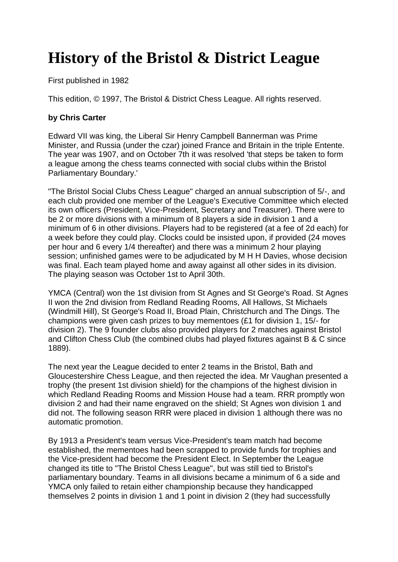## **History of the Bristol & District League**

First published in 1982

This edition, © 1997, The Bristol & District Chess League. All rights reserved.

## **by Chris Carter**

Edward VII was king, the Liberal Sir Henry Campbell Bannerman was Prime Minister, and Russia (under the czar) joined France and Britain in the triple Entente. The year was 1907, and on October 7th it was resolved 'that steps be taken to form a league among the chess teams connected with social clubs within the Bristol Parliamentary Boundary.'

"The Bristol Social Clubs Chess League" charged an annual subscription of 5/-, and each club provided one member of the League's Executive Committee which elected its own officers (President, Vice-President, Secretary and Treasurer). There were to be 2 or more divisions with a minimum of 8 players a side in division 1 and a minimum of 6 in other divisions. Players had to be registered (at a fee of 2d each) for a week before they could play. Clocks could be insisted upon, if provided (24 moves per hour and 6 every 1/4 thereafter) and there was a minimum 2 hour playing session; unfinished games were to be adjudicated by M H H Davies, whose decision was final. Each team played home and away against all other sides in its division. The playing season was October 1st to April 30th.

YMCA (Central) won the 1st division from St Agnes and St George's Road. St Agnes II won the 2nd division from Redland Reading Rooms, All Hallows, St Michaels (Windmill Hill), St George's Road II, Broad Plain, Christchurch and The Dings. The champions were given cash prizes to buy mementoes (£1 for division 1, 15/- for division 2). The 9 founder clubs also provided players for 2 matches against Bristol and Clifton Chess Club (the combined clubs had played fixtures against B & C since 1889).

The next year the League decided to enter 2 teams in the Bristol, Bath and Gloucestershire Chess League, and then rejected the idea. Mr Vaughan presented a trophy (the present 1st division shield) for the champions of the highest division in which Redland Reading Rooms and Mission House had a team. RRR promptly won division 2 and had their name engraved on the shield; St Agnes won division 1 and did not. The following season RRR were placed in division 1 although there was no automatic promotion.

By 1913 a President's team versus Vice-President's team match had become established, the mementoes had been scrapped to provide funds for trophies and the Vice-president had become the President Elect. In September the League changed its title to "The Bristol Chess League", but was still tied to Bristol's parliamentary boundary. Teams in all divisions became a minimum of 6 a side and YMCA only failed to retain either championship because they handicapped themselves 2 points in division 1 and 1 point in division 2 (they had successfully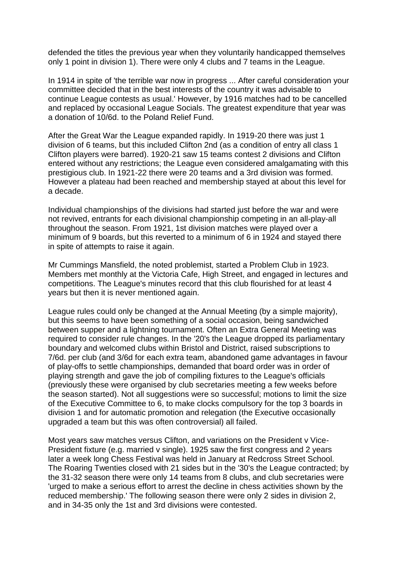defended the titles the previous year when they voluntarily handicapped themselves only 1 point in division 1). There were only 4 clubs and 7 teams in the League.

In 1914 in spite of 'the terrible war now in progress ... After careful consideration your committee decided that in the best interests of the country it was advisable to continue League contests as usual.' However, by 1916 matches had to be cancelled and replaced by occasional League Socials. The greatest expenditure that year was a donation of 10/6d. to the Poland Relief Fund.

After the Great War the League expanded rapidly. In 1919-20 there was just 1 division of 6 teams, but this included Clifton 2nd (as a condition of entry all class 1 Clifton players were barred). 1920-21 saw 15 teams contest 2 divisions and Clifton entered without any restrictions; the League even considered amalgamating with this prestigious club. In 1921-22 there were 20 teams and a 3rd division was formed. However a plateau had been reached and membership stayed at about this level for a decade.

Individual championships of the divisions had started just before the war and were not revived, entrants for each divisional championship competing in an all-play-all throughout the season. From 1921, 1st division matches were played over a minimum of 9 boards, but this reverted to a minimum of 6 in 1924 and stayed there in spite of attempts to raise it again.

Mr Cummings Mansfield, the noted problemist, started a Problem Club in 1923. Members met monthly at the Victoria Cafe, High Street, and engaged in lectures and competitions. The League's minutes record that this club flourished for at least 4 years but then it is never mentioned again.

League rules could only be changed at the Annual Meeting (by a simple majority), but this seems to have been something of a social occasion, being sandwiched between supper and a lightning tournament. Often an Extra General Meeting was required to consider rule changes. In the '20's the League dropped its parliamentary boundary and welcomed clubs within Bristol and District, raised subscriptions to 7/6d. per club (and 3/6d for each extra team, abandoned game advantages in favour of play-offs to settle championships, demanded that board order was in order of playing strength and gave the job of compiling fixtures to the League's officials (previously these were organised by club secretaries meeting a few weeks before the season started). Not all suggestions were so successful; motions to limit the size of the Executive Committee to 6, to make clocks compulsory for the top 3 boards in division 1 and for automatic promotion and relegation (the Executive occasionally upgraded a team but this was often controversial) all failed.

Most years saw matches versus Clifton, and variations on the President v Vice-President fixture (e.g. married v single). 1925 saw the first congress and 2 years later a week long Chess Festival was held in January at Redcross Street School. The Roaring Twenties closed with 21 sides but in the '30's the League contracted; by the 31-32 season there were only 14 teams from 8 clubs, and club secretaries were 'urged to make a serious effort to arrest the decline in chess activities shown by the reduced membership.' The following season there were only 2 sides in division 2, and in 34-35 only the 1st and 3rd divisions were contested.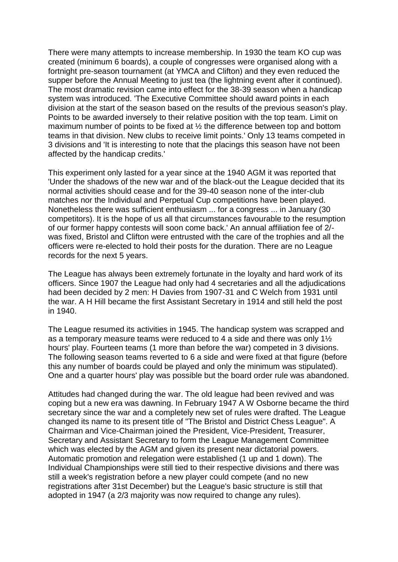There were many attempts to increase membership. In 1930 the team KO cup was created (minimum 6 boards), a couple of congresses were organised along with a fortnight pre-season tournament (at YMCA and Clifton) and they even reduced the supper before the Annual Meeting to just tea (the lightning event after it continued). The most dramatic revision came into effect for the 38-39 season when a handicap system was introduced. 'The Executive Committee should award points in each division at the start of the season based on the results of the previous season's play. Points to be awarded inversely to their relative position with the top team. Limit on maximum number of points to be fixed at ½ the difference between top and bottom teams in that division. New clubs to receive limit points.' Only 13 teams competed in 3 divisions and 'It is interesting to note that the placings this season have not been affected by the handicap credits.'

This experiment only lasted for a year since at the 1940 AGM it was reported that 'Under the shadows of the new war and of the black-out the League decided that its normal activities should cease and for the 39-40 season none of the inter-club matches nor the Individual and Perpetual Cup competitions have been played. Nonetheless there was sufficient enthusiasm ... for a congress ... in January (30 competitors). It is the hope of us all that circumstances favourable to the resumption of our former happy contests will soon come back.' An annual affiliation fee of 2/ was fixed, Bristol and Clifton were entrusted with the care of the trophies and all the officers were re-elected to hold their posts for the duration. There are no League records for the next 5 years.

The League has always been extremely fortunate in the loyalty and hard work of its officers. Since 1907 the League had only had 4 secretaries and all the adjudications had been decided by 2 men: H Davies from 1907-31 and C Welch from 1931 until the war. A H Hill became the first Assistant Secretary in 1914 and still held the post in 1940.

The League resumed its activities in 1945. The handicap system was scrapped and as a temporary measure teams were reduced to 4 a side and there was only 1½ hours' play. Fourteen teams (1 more than before the war) competed in 3 divisions. The following season teams reverted to 6 a side and were fixed at that figure (before this any number of boards could be played and only the minimum was stipulated). One and a quarter hours' play was possible but the board order rule was abandoned.

Attitudes had changed during the war. The old league had been revived and was coping but a new era was dawning. In February 1947 A W Osborne became the third secretary since the war and a completely new set of rules were drafted. The League changed its name to its present title of "The Bristol and District Chess League". A Chairman and Vice-Chairman joined the President, Vice-President, Treasurer, Secretary and Assistant Secretary to form the League Management Committee which was elected by the AGM and given its present near dictatorial powers. Automatic promotion and relegation were established (1 up and 1 down). The Individual Championships were still tied to their respective divisions and there was still a week's registration before a new player could compete (and no new registrations after 31st December) but the League's basic structure is still that adopted in 1947 (a 2/3 majority was now required to change any rules).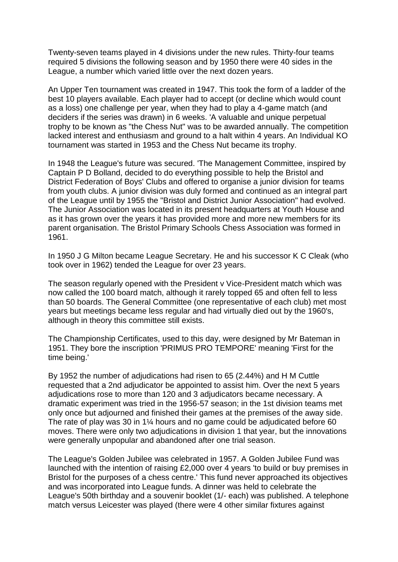Twenty-seven teams played in 4 divisions under the new rules. Thirty-four teams required 5 divisions the following season and by 1950 there were 40 sides in the League, a number which varied little over the next dozen years.

An Upper Ten tournament was created in 1947. This took the form of a ladder of the best 10 players available. Each player had to accept (or decline which would count as a loss) one challenge per year, when they had to play a 4-game match (and deciders if the series was drawn) in 6 weeks. 'A valuable and unique perpetual trophy to be known as "the Chess Nut" was to be awarded annually. The competition lacked interest and enthusiasm and ground to a halt within 4 years. An Individual KO tournament was started in 1953 and the Chess Nut became its trophy.

In 1948 the League's future was secured. 'The Management Committee, inspired by Captain P D Bolland, decided to do everything possible to help the Bristol and District Federation of Boys' Clubs and offered to organise a junior division for teams from youth clubs. A junior division was duly formed and continued as an integral part of the League until by 1955 the "Bristol and District Junior Association" had evolved. The Junior Association was located in its present headquarters at Youth House and as it has grown over the years it has provided more and more new members for its parent organisation. The Bristol Primary Schools Chess Association was formed in 1961.

In 1950 J G Milton became League Secretary. He and his successor K C Cleak (who took over in 1962) tended the League for over 23 years.

The season regularly opened with the President v Vice-President match which was now called the 100 board match, although it rarely topped 65 and often fell to less than 50 boards. The General Committee (one representative of each club) met most years but meetings became less regular and had virtually died out by the 1960's, although in theory this committee still exists.

The Championship Certificates, used to this day, were designed by Mr Bateman in 1951. They bore the inscription 'PRIMUS PRO TEMPORE' meaning 'First for the time being.'

By 1952 the number of adjudications had risen to 65 (2.44%) and H M Cuttle requested that a 2nd adjudicator be appointed to assist him. Over the next 5 years adjudications rose to more than 120 and 3 adjudicators became necessary. A dramatic experiment was tried in the 1956-57 season; in the 1st division teams met only once but adjourned and finished their games at the premises of the away side. The rate of play was 30 in 1¼ hours and no game could be adjudicated before 60 moves. There were only two adjudications in division 1 that year, but the innovations were generally unpopular and abandoned after one trial season.

The League's Golden Jubilee was celebrated in 1957. A Golden Jubilee Fund was launched with the intention of raising £2,000 over 4 years 'to build or buy premises in Bristol for the purposes of a chess centre.' This fund never approached its objectives and was incorporated into League funds. A dinner was held to celebrate the League's 50th birthday and a souvenir booklet (1/- each) was published. A telephone match versus Leicester was played (there were 4 other similar fixtures against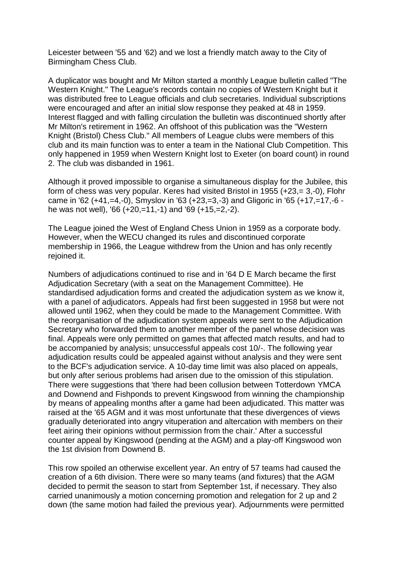Leicester between '55 and '62) and we lost a friendly match away to the City of Birmingham Chess Club.

A duplicator was bought and Mr Milton started a monthly League bulletin called "The Western Knight." The League's records contain no copies of Western Knight but it was distributed free to League officials and club secretaries. Individual subscriptions were encouraged and after an initial slow response they peaked at 48 in 1959. Interest flagged and with falling circulation the bulletin was discontinued shortly after Mr Milton's retirement in 1962. An offshoot of this publication was the "Western Knight (Bristol) Chess Club." All members of League clubs were members of this club and its main function was to enter a team in the National Club Competition. This only happened in 1959 when Western Knight lost to Exeter (on board count) in round 2. The club was disbanded in 1961.

Although it proved impossible to organise a simultaneous display for the Jubilee, this form of chess was very popular. Keres had visited Bristol in 1955 (+23,= 3,-0), Flohr came in '62 (+41,=4,-0), Smyslov in '63 (+23,=3,-3) and Gligoric in '65 (+17,=17,-6 he was not well), '66 (+20,=11,-1) and '69 (+15,=2,-2).

The League joined the West of England Chess Union in 1959 as a corporate body. However, when the WECU changed its rules and discontinued corporate membership in 1966, the League withdrew from the Union and has only recently rejoined it.

Numbers of adjudications continued to rise and in '64 D E March became the first Adjudication Secretary (with a seat on the Management Committee). He standardised adjudication forms and created the adjudication system as we know it, with a panel of adjudicators. Appeals had first been suggested in 1958 but were not allowed until 1962, when they could be made to the Management Committee. With the reorganisation of the adjudication system appeals were sent to the Adjudication Secretary who forwarded them to another member of the panel whose decision was final. Appeals were only permitted on games that affected match results, and had to be accompanied by analysis; unsuccessful appeals cost 10/-. The following year adjudication results could be appealed against without analysis and they were sent to the BCF's adjudication service. A 10-day time limit was also placed on appeals, but only after serious problems had arisen due to the omission of this stipulation. There were suggestions that 'there had been collusion between Totterdown YMCA and Downend and Fishponds to prevent Kingswood from winning the championship by means of appealing months after a game had been adjudicated. This matter was raised at the '65 AGM and it was most unfortunate that these divergences of views gradually deteriorated into angry vituperation and altercation with members on their feet airing their opinions without permission from the chair.' After a successful counter appeal by Kingswood (pending at the AGM) and a play-off Kingswood won the 1st division from Downend B.

This row spoiled an otherwise excellent year. An entry of 57 teams had caused the creation of a 6th division. There were so many teams (and fixtures) that the AGM decided to permit the season to start from September 1st, if necessary. They also carried unanimously a motion concerning promotion and relegation for 2 up and 2 down (the same motion had failed the previous year). Adjournments were permitted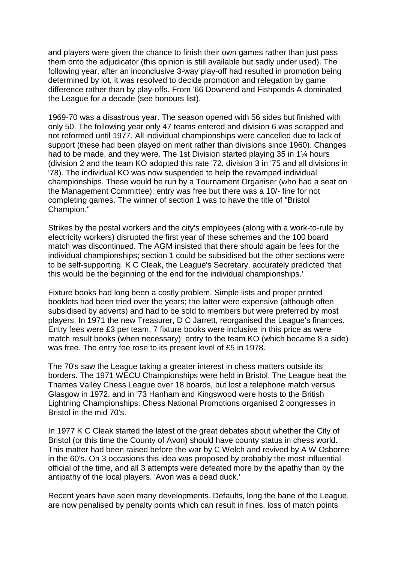and players were given the chance to finish their own games rather than just pass them onto the adjudicator (this opinion is still available but sadly under used). The following year, after an inconclusive 3-way play-off had resulted in promotion being determined by lot, it was resolved to decide promotion and relegation by game difference rather than by play-offs. From '66 Downend and Fishponds A dominated the League for a decade (see honours list).

1969-70 was a disastrous year. The season opened with 56 sides but finished with only 50. The following year only 47 teams entered and division 6 was scrapped and not reformed until 1977. All individual championships were cancelled due to lack of support (these had been played on merit rather than divisions since 1960). Changes had to be made, and they were. The 1st Division started playing 35 in 1¼ hours (division 2 and the team KO adopted this rate '72, division 3 in '75 and all divisions in '78). The individual KO was now suspended to help the revamped individual championships. These would be run by a Tournament Organiser (who had a seat on the Management Committee); entry was free but there was a 10/- fine for not completing games. The winner of section 1 was to have the title of "Bristol Champion."

Strikes by the postal workers and the city's employees (along with a work-to-rule by electricity workers) disrupted the first year of these schemes and the 100 board match was discontinued. The AGM insisted that there should again be fees for the individual championships; section 1 could be subsidised but the other sections were to be self-supporting. K C Cleak, the League's Secretary, accurately predicted 'that this would be the beginning of the end for the individual championships.'

Fixture books had long been a costly problem. Simple lists and proper printed booklets had been tried over the years; the latter were expensive (although often subsidised by adverts) and had to be sold to members but were preferred by most players. In 1971 the new Treasurer, D C Jarrett, reorganised the League's finances. Entry fees were £3 per team, 7 fixture books were inclusive in this price as were match result books (when necessary); entry to the team KO (which became 8 a side) was free. The entry fee rose to its present level of £5 in 1978.

The 70's saw the League taking a greater interest in chess matters outside its borders. The 1971 WECU Championships were held in Bristol. The League beat the Thames Valley Chess League over 18 boards, but lost a telephone match versus Glasgow in 1972, and in '73 Hanham and Kingswood were hosts to the British Lightning Championships. Chess National Promotions organised 2 congresses in Bristol in the mid 70's.

In 1977 K C Cleak started the latest of the great debates about whether the City of Bristol (or this time the County of Avon) should have county status in chess world. This matter had been raised before the war by C Welch and revived by A W Osborne in the 60's. On 3 occasions this idea was proposed by probably the most influential official of the time, and all 3 attempts were defeated more by the apathy than by the antipathy of the local players. 'Avon was a dead duck.'

Recent years have seen many developments. Defaults, long the bane of the League, are now penalised by penalty points which can result in fines, loss of match points